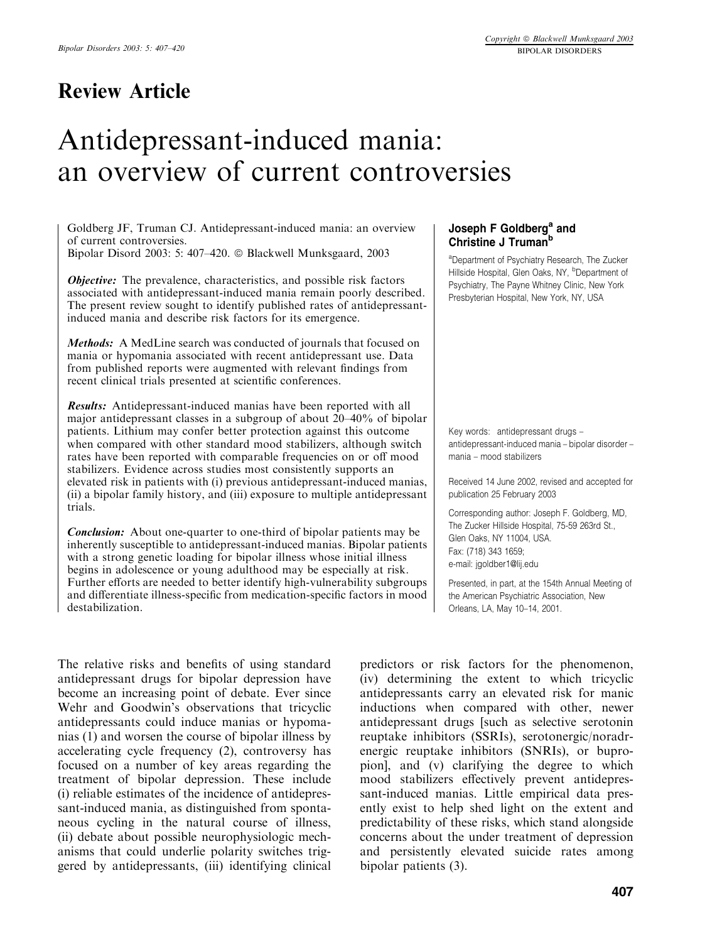# Antidepressant-induced mania: an overview of current controversies

Goldberg JF, Truman CJ. Antidepressant-induced mania: an overview of current controversies.

Bipolar Disord 2003: 5: 407–420.  $\odot$  Blackwell Munksgaard, 2003

*Objective:* The prevalence, characteristics, and possible risk factors associated with antidepressant-induced mania remain poorly described. The present review sought to identify published rates of antidepressantinduced mania and describe risk factors for its emergence.

Methods: A MedLine search was conducted of journals that focused on mania or hypomania associated with recent antidepressant use. Data from published reports were augmented with relevant findings from recent clinical trials presented at scientific conferences.

Results: Antidepressant-induced manias have been reported with all major antidepressant classes in a subgroup of about 20–40% of bipolar patients. Lithium mayconfer better protection against this outcome when compared with other standard mood stabilizers, although switch rates have been reported with comparable frequencies on or off mood stabilizers. Evidence across studies most consistently supports an elevated risk in patients with (i) previous antidepressant-induced manias, (ii) a bipolar family history, and (iii) exposure to multiple antidepressant trials.

Conclusion: About one-quarter to one-third of bipolar patients may be inherently susceptible to antidepressant-induced manias. Bipolar patients with a strong genetic loading for bipolar illness whose initial illness begins in adolescence or young adulthood may be especially at risk. Further efforts are needed to better identify high-vulnerability subgroups and differentiate illness-specific from medication-specific factors in mood destabilization.

The relative risks and benefits of using standard antidepressant drugs for bipolar depression have become an increasing point of debate. Ever since Wehr and Goodwin's observations that tricyclic antidepressants could induce manias or hypomanias (1) and worsen the course of bipolar illness by accelerating cycle frequency (2), controversy has focused on a number of keyareas regarding the treatment of bipolar depression. These include (i) reliable estimates of the incidence of antidepressant-induced mania, as distinguished from spontaneous cycling in the natural course of illness, (ii) debate about possible neurophysiologic mechanisms that could underlie polarity switches triggered by antidepressants, (iii) identifying clinical

# Joseph F Goldberg<sup>a</sup> and Christine J Truman<sup>b</sup>

aDepartment of Psychiatry Research, The Zucker Hillside Hospital, Glen Oaks, NY, <sup>b</sup>Department of Psychiatry, The Payne Whitney Clinic, New York Presbyterian Hospital, New York, NY, USA

Key words: antidepressant drugs – antidepressant-induced mania – bipolar disorder – mania – mood stabilizers

Received 14 June 2002, revised and accepted for publication 25 February 2003

Corresponding author: Joseph F. Goldberg, MD, The Zucker Hillside Hospital, 75-59 263rd St., Glen Oaks, NY 11004, USA. Fax: (718) 343 1659; e-mail: jgoldber1@lij.edu

Presented, in part, at the 154th Annual Meeting of the American Psychiatric Association, New Orleans, LA, May 10–14, 2001.

predictors or risk factors for the phenomenon, (iv) determining the extent to which tricyclic antidepressants carry an elevated risk for manic inductions when compared with other, newer antidepressant drugs [such as selective serotonin reuptake inhibitors (SSRIs), serotonergic/noradrenergic reuptake inhibitors (SNRIs), or bupropion], and (v) clarifying the degree to which mood stabilizers effectively prevent antidepressant-induced manias. Little empirical data presently exist to help shed light on the extent and predictability of these risks, which stand alongside concerns about the under treatment of depression and persistently elevated suicide rates among bipolar patients (3).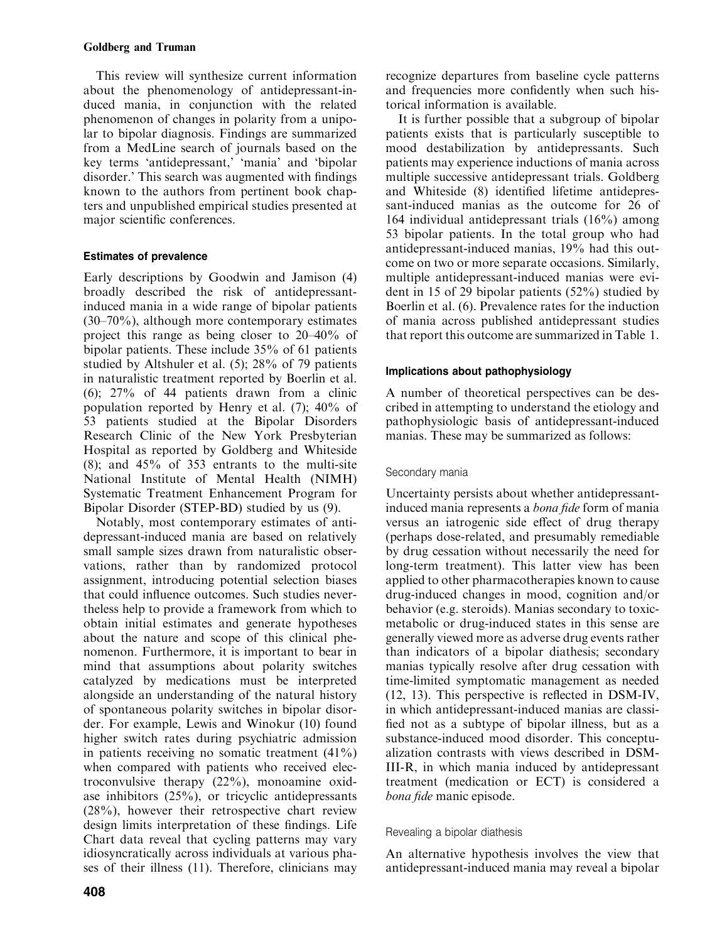This review will synthesize current information about the phenomenology of antidepressant-induced mania, in conjunction with the related phenomenon of changes in polarity from a unipolar to bipolar diagnosis. Findings are summarized from a MedLine search of journals based on the key terms 'antidepressant,' 'mania' and 'bipolar disorder.' This search was augmented with findings known to the authors from pertinent book chapters and unpublished empirical studies presented at major scientific conferences.

# Estimates of prevalence

Early descriptions by Goodwin and Jamison (4) broadly described the risk of antidepressantinduced mania in a wide range of bipolar patients  $(30-70\%)$ , although more contemporary estimates project this range as being closer to 20–40% of bipolar patients. These include 35% of 61 patients studied by Altshuler et al. (5); 28% of 79 patients in naturalistic treatment reported by Boerlin et al. (6); 27% of 44 patients drawn from a clinic population reported by Henry et al.  $(7)$ ; 40% of 53 patients studied at the Bipolar Disorders Research Clinic of the New York Presbyterian Hospital as reported byGoldberg and Whiteside (8); and 45% of 353 entrants to the multi-site National Institute of Mental Health (NIMH) Systematic Treatment Enhancement Program for Bipolar Disorder (STEP-BD) studied by us (9).

Notably, most contemporary estimates of antidepressant-induced mania are based on relatively small sample sizes drawn from naturalistic observations, rather than by randomized protocol assignment, introducing potential selection biases that could influence outcomes. Such studies nevertheless help to provide a framework from which to obtain initial estimates and generate hypotheses about the nature and scope of this clinical phenomenon. Furthermore, it is important to bear in mind that assumptions about polarity switches catalyzed by medications must be interpreted alongside an understanding of the natural history of spontaneous polarityswitches in bipolar disorder. For example, Lewis and Winokur (10) found higher switch rates during psychiatric admission in patients receiving no somatic treatment (41%) when compared with patients who received electroconvulsive therapy  $(22\%)$ , monoamine oxidase inhibitors (25%), or tricyclic antidepressants (28%), however their retrospective chart review design limits interpretation of these findings. Life Chart data reveal that cycling patterns may vary idiosyncratically across individuals at various phases of their illness (11). Therefore, clinicians may recognize departures from baseline cycle patterns and frequencies more confidently when such historical information is available.

It is further possible that a subgroup of bipolar patients exists that is particularly susceptible to mood destabilization by antidepressants. Such patients mayexperience inductions of mania across multiple successive antidepressant trials. Goldberg and Whiteside (8) identified lifetime antidepressant-induced manias as the outcome for 26 of 164 individual antidepressant trials (16%) among 53 bipolar patients. In the total group who had antidepressant-induced manias, 19% had this outcome on two or more separate occasions. Similarly, multiple antidepressant-induced manias were evident in 15 of 29 bipolar patients (52%) studied by Boerlin et al. (6). Prevalence rates for the induction of mania across published antidepressant studies that report this outcome are summarized in Table 1.

# Implications about pathophysiology

A number of theoretical perspectives can be described in attempting to understand the etiologyand pathophysiologic basis of antidepressant-induced manias. These may be summarized as follows:

# Secondary mania

Uncertainty persists about whether antidepressantinduced mania represents a bona fide form of mania versus an iatrogenic side effect of drug therapy (perhaps dose-related, and presumably remediable) by drug cessation without necessarily the need for long-term treatment). This latter view has been applied to other pharmacotherapies known to cause drug-induced changes in mood, cognition and/or behavior (e.g. steroids). Manias secondary to toxicmetabolic or drug-induced states in this sense are generallyviewed more as adverse drug events rather than indicators of a bipolar diathesis; secondary manias typically resolve after drug cessation with time-limited symptomatic management as needed (12, 13). This perspective is reflected in DSM-IV, in which antidepressant-induced manias are classified not as a subtype of bipolar illness, but as a substance-induced mood disorder. This conceptualization contrasts with views described in DSM-III-R, in which mania induced by antidepressant treatment (medication or ECT) is considered a bona fide manic episode.

# Revealing a bipolar diathesis

An alternative hypothesis involves the view that antidepressant-induced mania mayreveal a bipolar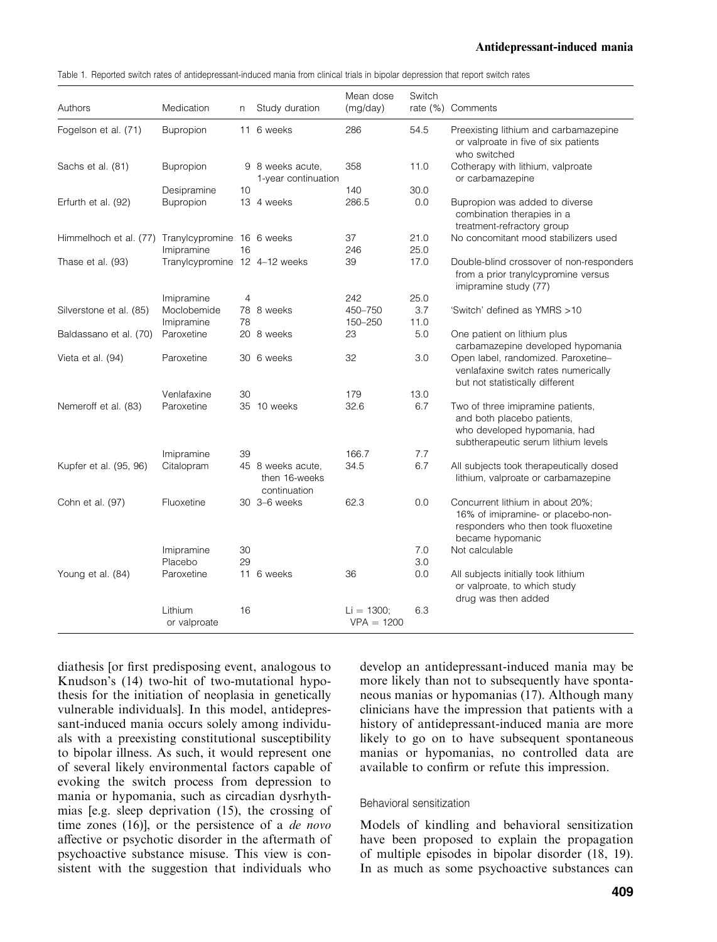## 1 Antidepressant-induced mania

|  | Table 1. Reported switch rates of antidepressant-induced mania from clinical trials in bipolar depression that report switch rates |  |  |
|--|------------------------------------------------------------------------------------------------------------------------------------|--|--|
|  |                                                                                                                                    |  |  |

| Authors                                           | Medication                    | n              | Study duration                                     | Mean dose<br>(mg/day)        | Switch     | rate (%) Comments                                                                                                                      |
|---------------------------------------------------|-------------------------------|----------------|----------------------------------------------------|------------------------------|------------|----------------------------------------------------------------------------------------------------------------------------------------|
| Fogelson et al. (71)                              | Bupropion                     |                | 11 6 weeks                                         | 286                          | 54.5       | Preexisting lithium and carbamazepine<br>or valproate in five of six patients<br>who switched                                          |
| Sachs et al. (81)                                 | <b>Bupropion</b>              |                | 9 8 weeks acute.<br>1-year continuation            | 358                          | 11.0       | Cotherapy with lithium, valproate<br>or carbamazepine                                                                                  |
|                                                   | Desipramine                   | 10             |                                                    | 140                          | 30.0       |                                                                                                                                        |
| Erfurth et al. (92)                               | Bupropion                     |                | 13 4 weeks                                         | 286.5                        | 0.0        | Bupropion was added to diverse<br>combination therapies in a<br>treatment-refractory group                                             |
| Himmelhoch et al. (77) Tranylcypromine 16 6 weeks |                               |                |                                                    | 37                           | 21.0       | No concomitant mood stabilizers used                                                                                                   |
|                                                   | Imipramine                    | 16             |                                                    | 246                          | 25.0       |                                                                                                                                        |
| Thase et al. (93)                                 | Tranylcypromine 12 4-12 weeks |                |                                                    | 39                           | 17.0       | Double-blind crossover of non-responders<br>from a prior tranylcypromine versus<br>imipramine study (77)                               |
|                                                   | Imipramine                    | $\overline{4}$ |                                                    | 242                          | 25.0       |                                                                                                                                        |
| Silverstone et al. (85)                           | Moclobemide                   |                | 78 8 weeks                                         | 450-750                      | 3.7        | 'Switch' defined as YMRS >10                                                                                                           |
|                                                   | Imipramine                    | 78             |                                                    | 150-250                      | 11.0       |                                                                                                                                        |
| Baldassano et al. (70)                            | Paroxetine                    |                | 20 8 weeks                                         | 23                           | 5.0        | One patient on lithium plus<br>carbamazepine developed hypomania                                                                       |
| Vieta et al. (94)                                 | Paroxetine                    |                | 30 6 weeks                                         | 32                           | 3.0        | Open label, randomized. Paroxetine-<br>venlafaxine switch rates numerically<br>but not statistically different                         |
|                                                   | Venlafaxine                   | 30             |                                                    | 179                          | 13.0       |                                                                                                                                        |
| Nemeroff et al. (83)                              | Paroxetine                    |                | 35 10 weeks                                        | 32.6                         | 6.7        | Two of three imipramine patients,<br>and both placebo patients.<br>who developed hypomania, had<br>subtherapeutic serum lithium levels |
|                                                   | Imipramine                    | 39             |                                                    | 166.7                        | 7.7        |                                                                                                                                        |
| Kupfer et al. (95, 96)                            | Citalopram                    |                | 45 8 weeks acute.<br>then 16-weeks<br>continuation | 34.5                         | 6.7        | All subjects took therapeutically dosed<br>lithium, valproate or carbamazepine                                                         |
| Cohn et al. (97)                                  | Fluoxetine                    |                | 30 3-6 weeks                                       | 62.3                         | 0.0        | Concurrent lithium in about 20%;<br>16% of imipramine- or placebo-non-<br>responders who then took fluoxetine<br>became hypomanic      |
|                                                   | Imipramine<br>Placebo         | 30<br>29       |                                                    |                              | 7.0<br>3.0 | Not calculable                                                                                                                         |
| Young et al. (84)                                 | Paroxetine                    |                | 11 6 weeks                                         | 36                           | 0.0        | All subjects initially took lithium<br>or valproate, to which study<br>drug was then added                                             |
|                                                   | Lithium<br>or valproate       | 16             |                                                    | $Li = 1300:$<br>$VPA = 1200$ | 6.3        |                                                                                                                                        |

diathesis [or first predisposing event, analogous to Knudson's (14) two-hit of two-mutational hypothesis for the initiation of neoplasia in genetically vulnerable individuals]. In this model, antidepressant-induced mania occurs solely among individuals with a preexisting constitutional susceptibility to bipolar illness. As such, it would represent one of several likely environmental factors capable of evoking the switch process from depression to mania or hypomania, such as circadian dysrhythmias [e.g. sleep deprivation (15), the crossing of time zones (16), or the persistence of a *de novo* affective or psychotic disorder in the aftermath of psychoactive substance misuse. This view is consistent with the suggestion that individuals who

develop an antidepressant-induced mania maybe more likely than not to subsequently have spontaneous manias or hypomanias (17). Although many clinicians have the impression that patients with a history of antidepressant-induced mania are more likely to go on to have subsequent spontaneous manias or hypomanias, no controlled data are available to confirm or refute this impression.

## Behavioral sensitization

Models of kindling and behavioral sensitization have been proposed to explain the propagation of multiple episodes in bipolar disorder (18, 19). In as much as some psychoactive substances can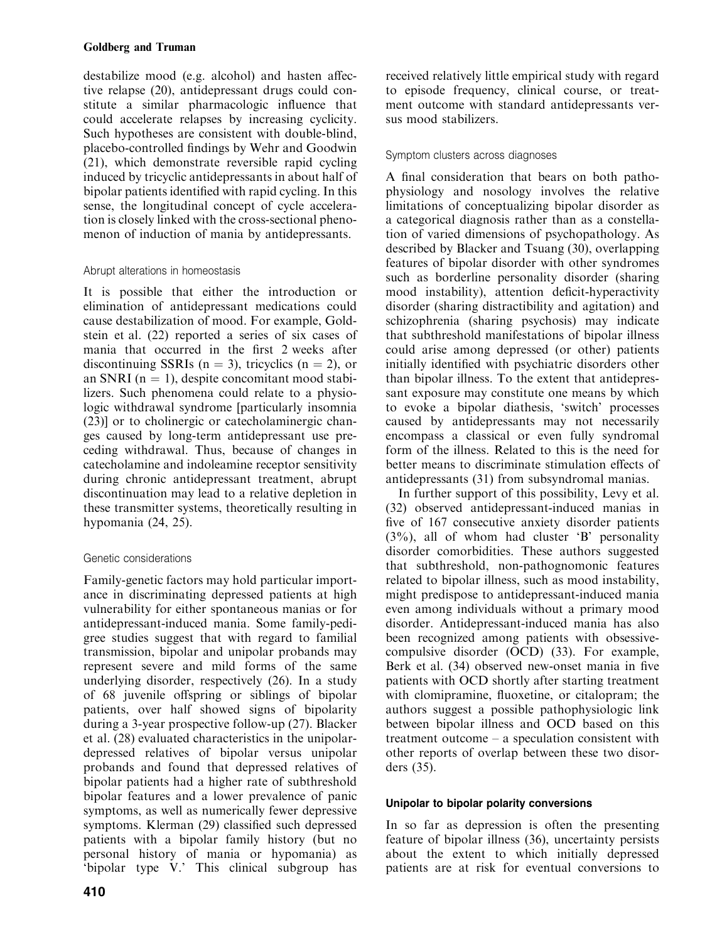destabilize mood (e.g. alcohol) and hasten affective relapse (20), antidepressant drugs could constitute a similar pharmacologic influence that could accelerate relapses by increasing cyclicity. Such hypotheses are consistent with double-blind, placebo-controlled findings by Wehr and Goodwin (21), which demonstrate reversible rapid cycling induced bytricyclic antidepressants in about half of bipolar patients identified with rapid cycling. In this sense, the longitudinal concept of cycle acceleration is closely linked with the cross-sectional phenomenon of induction of mania by antidepressants.

# Abrupt alterations in homeostasis

It is possible that either the introduction or elimination of antidepressant medications could cause destabilization of mood. For example, Goldstein et al. (22) reported a series of six cases of mania that occurred in the first 2 weeks after discontinuing SSRIs ( $n = 3$ ), tricyclics ( $n = 2$ ), or an SNRI ( $n = 1$ ), despite concomitant mood stabilizers. Such phenomena could relate to a physiologic withdrawal syndrome [particularly insomnia (23)] or to cholinergic or catecholaminergic changes caused bylong-term antidepressant use preceding withdrawal. Thus, because of changes in catecholamine and indoleamine receptor sensitivity during chronic antidepressant treatment, abrupt discontinuation maylead to a relative depletion in these transmitter systems, theoretically resulting in hypomania (24, 25).

# Genetic considerations

Family-genetic factors may hold particular importance in discriminating depressed patients at high vulnerability for either spontaneous manias or for antidepressant-induced mania. Some family-pedigree studies suggest that with regard to familial transmission, bipolar and unipolar probands may represent severe and mild forms of the same underlying disorder, respectively (26). In a study of 68 juvenile offspring or siblings of bipolar patients, over half showed signs of bipolarity during a 3-year prospective follow-up (27). Blacker et al. (28) evaluated characteristics in the unipolardepressed relatives of bipolar versus unipolar probands and found that depressed relatives of bipolar patients had a higher rate of subthreshold bipolar features and a lower prevalence of panic symptoms, as well as numerically fewer depressive symptoms. Klerman (29) classified such depressed patients with a bipolar family history (but no personal history of mania or hypomania) as 'bipolar type V.' This clinical subgroup has

received relatively little empirical study with regard to episode frequency, clinical course, or treatment outcome with standard antidepressants versus mood stabilizers.

# Symptom clusters across diagnoses

A final consideration that bears on both pathophysiology and nosology involves the relative limitations of conceptualizing bipolar disorder as a categorical diagnosis rather than as a constellation of varied dimensions of psychopathology. As described by Blacker and Tsuang (30), overlapping features of bipolar disorder with other syndromes such as borderline personality disorder (sharing mood instability), attention deficit-hyperactivity disorder (sharing distractibilityand agitation) and schizophrenia (sharing psychosis) may indicate that subthreshold manifestations of bipolar illness could arise among depressed (or other) patients initially identified with psychiatric disorders other than bipolar illness. To the extent that antidepressant exposure may constitute one means by which to evoke a bipolar diathesis, 'switch' processes caused by antidepressants may not necessarily encompass a classical or even fully syndromal form of the illness. Related to this is the need for better means to discriminate stimulation effects of antidepressants (31) from subsyndromal manias.

In further support of this possibility, Levy et al. (32) observed antidepressant-induced manias in five of 167 consecutive anxiety disorder patients  $(3\%)$ , all of whom had cluster 'B' personality disorder comorbidities. These authors suggested that subthreshold, non-pathognomonic features related to bipolar illness, such as mood instability, might predispose to antidepressant-induced mania even among individuals without a primary mood disorder. Antidepressant-induced mania has also been recognized among patients with obsessivecompulsive disorder (OCD) (33). For example, Berk et al. (34) observed new-onset mania in five patients with OCD shortlyafter starting treatment with clomipramine, fluoxetine, or citalopram; the authors suggest a possible pathophysiologic link between bipolar illness and OCD based on this treatment outcome – a speculation consistent with other reports of overlap between these two disorders (35).

# Unipolar to bipolar polarity conversions

In so far as depression is often the presenting feature of bipolar illness (36), uncertainty persists about the extent to which initially depressed patients are at risk for eventual conversions to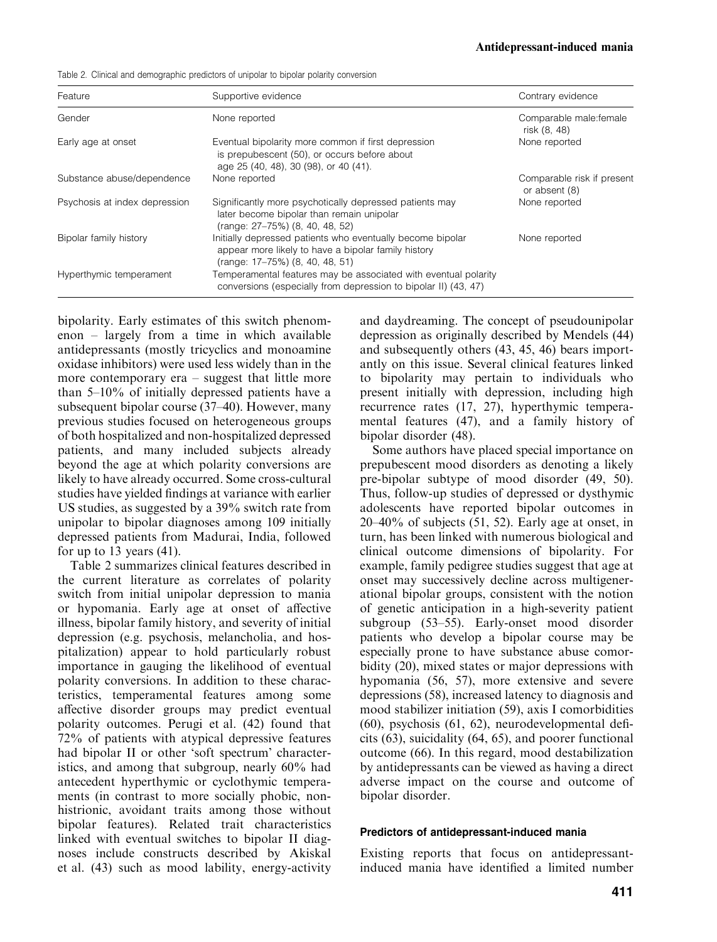Table 2. Clinical and demographic predictors of unipolar to bipolar polarity conversion

| Feature                       | Supportive evidence                                                                                                                                  | Contrary evidence                           |
|-------------------------------|------------------------------------------------------------------------------------------------------------------------------------------------------|---------------------------------------------|
| Gender                        | None reported                                                                                                                                        | Comparable male: female<br>risk (8, 48)     |
| Early age at onset            | Eventual bipolarity more common if first depression<br>is prepubescent (50), or occurs before about<br>age 25 (40, 48), 30 (98), or 40 (41).         | None reported                               |
| Substance abuse/dependence    | None reported                                                                                                                                        | Comparable risk if present<br>or absent (8) |
| Psychosis at index depression | Significantly more psychotically depressed patients may<br>later become bipolar than remain unipolar<br>(range: 27-75%) (8, 40, 48, 52)              | None reported                               |
| Bipolar family history        | Initially depressed patients who eventually become bipolar<br>appear more likely to have a bipolar family history<br>(range: 17-75%) (8, 40, 48, 51) | None reported                               |
| Hyperthymic temperament       | Temperamental features may be associated with eventual polarity<br>conversions (especially from depression to bipolar II) (43, 47)                   |                                             |

bipolarity. Early estimates of this switch phenomenon – largely from a time in which available antidepressants (mostly tricyclics and monoamine oxidase inhibitors) were used less widelythan in the more contemporary  $era - suggest that little more$ than  $5-10\%$  of initially depressed patients have a subsequent bipolar course (37–40). However, many previous studies focused on heterogeneous groups of both hospitalized and non-hospitalized depressed patients, and many included subjects already beyond the age at which polarity conversions are likely to have already occurred. Some cross-cultural studies have yielded findings at variance with earlier US studies, as suggested bya 39% switch rate from unipolar to bipolar diagnoses among 109 initially depressed patients from Madurai, India, followed for up to 13 years (41).

Table 2 summarizes clinical features described in the current literature as correlates of polarity switch from initial unipolar depression to mania or hypomania. Early age at onset of affective illness, bipolar family history, and severity of initial depression (e.g. psychosis, melancholia, and hospitalization) appear to hold particularly robust importance in gauging the likelihood of eventual polarity conversions. In addition to these characteristics, temperamental features among some affective disorder groups may predict eventual polarity outcomes. Perugi et al. (42) found that 72% of patients with atypical depressive features had bipolar II or other 'soft spectrum' characteristics, and among that subgroup, nearly 60% had antecedent hyperthymic or cyclothymic temperaments (in contrast to more socially phobic, nonhistrionic, avoidant traits among those without bipolar features). Related trait characteristics linked with eventual switches to bipolar II diagnoses include constructs described by Akiskal et al. (43) such as mood lability, energy-activity and daydreaming. The concept of pseudounipolar depression as originally described by Mendels (44) and subsequently others (43, 45, 46) bears importantly on this issue. Several clinical features linked to bipolarity may pertain to individuals who present initially with depression, including high recurrence rates (17, 27), hyperthymic temperamental features  $(47)$ , and a family history of bipolar disorder (48).

Some authors have placed special importance on prepubescent mood disorders as denoting a likely pre-bipolar subtype of mood disorder (49, 50). Thus, follow-up studies of depressed or dysthymic adolescents have reported bipolar outcomes in  $20-40\%$  of subjects (51, 52). Early age at onset, in turn, has been linked with numerous biological and clinical outcome dimensions of bipolarity. For example, family pedigree studies suggest that age at onset may successively decline across multigenerational bipolar groups, consistent with the notion of genetic anticipation in a high-severitypatient subgroup (53–55). Early-onset mood disorder patients who develop a bipolar course maybe especially prone to have substance abuse comorbidity (20), mixed states or major depressions with hypomania (56, 57), more extensive and severe depressions (58), increased latency to diagnosis and mood stabilizer initiation (59), axis I comorbidities (60), psychosis (61, 62), neurodevelopmental deficits  $(63)$ , suicidality  $(64, 65)$ , and poorer functional outcome (66). In this regard, mood destabilization byantidepressants can be viewed as having a direct adverse impact on the course and outcome of bipolar disorder.

## Predictors of antidepressant-induced mania

Existing reports that focus on antidepressantinduced mania have identified a limited number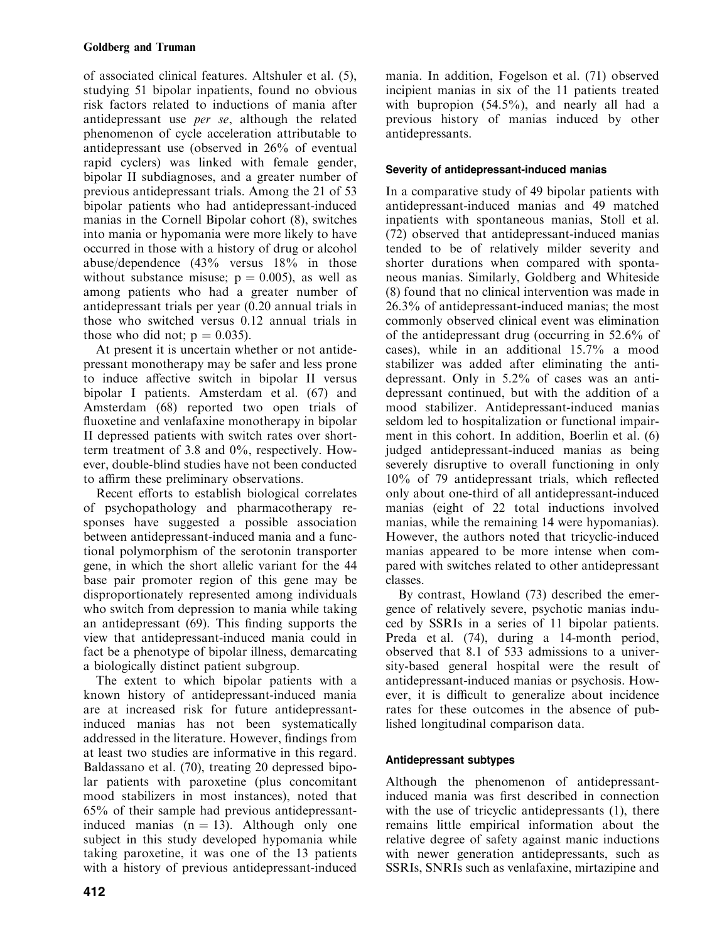of associated clinical features. Altshuler et al. (5), studying 51 bipolar inpatients, found no obvious risk factors related to inductions of mania after antidepressant use per se, although the related phenomenon of cycle acceleration attributable to antidepressant use (observed in 26% of eventual rapid cyclers) was linked with female gender, bipolar II subdiagnoses, and a greater number of previous antidepressant trials. Among the 21 of 53 bipolar patients who had antidepressant-induced manias in the Cornell Bipolar cohort (8), switches into mania or hypomania were more likely to have occurred in those with a historyof drug or alcohol abuse/dependence (43% versus 18% in those without substance misuse;  $p = 0.005$ ), as well as among patients who had a greater number of antidepressant trials per year (0.20 annual trials in those who switched versus 0.12 annual trials in those who did not;  $p = 0.035$ ).

At present it is uncertain whether or not antidepressant monotherapy may be safer and less prone to induce affective switch in bipolar II versus bipolar I patients. Amsterdam et al. (67) and 6Amsterdam (68) reported two open trials of fluoxetine and venlafaxine monotherapy in bipolar II depressed patients with switch rates over shortterm treatment of 3.8 and 0%, respectively. However, double-blind studies have not been conducted to affirm these preliminary observations.

Recent efforts to establish biological correlates of psychopathology and pharmacotherapy responses have suggested a possible association between antidepressant-induced mania and a functional polymorphism of the serotonin transporter gene, in which the short allelic variant for the 44 base pair promoter region of this gene may be disproportionately represented among individuals who switch from depression to mania while taking an antidepressant (69). This finding supports the view that antidepressant-induced mania could in fact be a phenotype of bipolar illness, demarcating a biologically distinct patient subgroup.

The extent to which bipolar patients with a known history of antidepressant-induced mania are at increased risk for future antidepressantinduced manias has not been systematically addressed in the literature. However, findings from at least two studies are informative in this regard. Baldassano et al. (70), treating 20 depressed bipolar patients with paroxetine (plus concomitant mood stabilizers in most instances), noted that 65% of their sample had previous antidepressantinduced manias  $(n = 13)$ . Although only one subject in this study developed hypomania while taking paroxetine, it was one of the 13 patients with a history of previous antidepressant-induced

mania. In addition, Fogelson et al. (71) observed incipient manias in six of the 11 patients treated with bupropion  $(54.5\%)$ , and nearly all had a previous history of manias induced by other antidepressants.

# Severity of antidepressant-induced manias

In a comparative study of 49 bipolar patients with antidepressant-induced manias and 49 matched inpatients with spontaneous manias, Stoll et al. (72) observed that antidepressant-induced manias tended to be of relatively milder severity and shorter durations when compared with spontaneous manias. Similarly, Goldberg and Whiteside (8) found that no clinical intervention was made in 26.3% of antidepressant-induced manias; the most commonly observed clinical event was elimination of the antidepressant drug (occurring in 52.6% of cases), while in an additional 15.7% a mood stabilizer was added after eliminating the antidepressant. Only in 5.2% of cases was an antidepressant continued, but with the addition of a mood stabilizer. Antidepressant-induced manias seldom led to hospitalization or functional impairment in this cohort. In addition, Boerlin et al. (6) judged antidepressant-induced manias as being severely disruptive to overall functioning in only 10% of 79 antidepressant trials, which reflected onlyabout one-third of all antidepressant-induced manias (eight of 22 total inductions involved manias, while the remaining 14 were hypomanias). However, the authors noted that tricyclic-induced manias appeared to be more intense when compared with switches related to other antidepressant classes.

By contrast, Howland (73) described the emergence of relatively severe, psychotic manias induced bySSRIs in a series of 11 bipolar patients. Preda et al. (74), during a 14-month period, observed that 8.1 of 533 admissions to a university-based general hospital were the result of antidepressant-induced manias or psychosis. However, it is difficult to generalize about incidence rates for these outcomes in the absence of published longitudinal comparison data.

# Antidepressant subtypes

Although the phenomenon of antidepressantinduced mania was first described in connection with the use of tricyclic antidepressants (1), there remains little empirical information about the relative degree of safety against manic inductions with newer generation antidepressants, such as SSRIs, SNRIs such as venlafaxine, mirtazipine and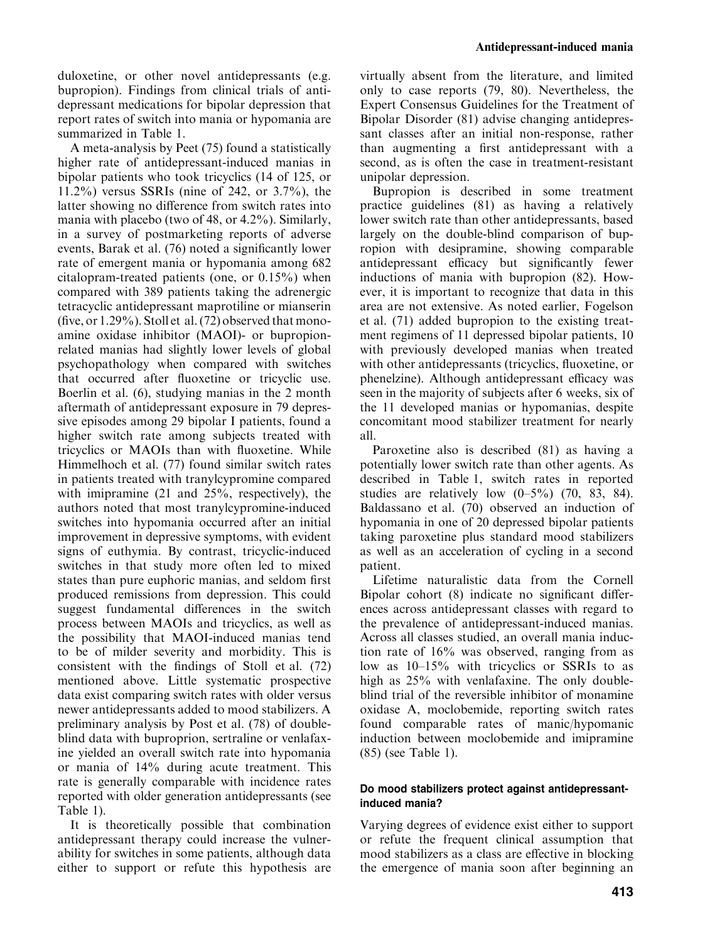duloxetine, or other novel antidepressants (e.g. bupropion). Findings from clinical trials of antidepressant medications for bipolar depression that report rates of switch into mania or hypomania are summarized in Table 1.

A meta-analysis by Peet (75) found a statistically higher rate of antidepressant-induced manias in bipolar patients who took tricyclics (14 of 125, or 11.2%) versus SSRIs (nine of 242, or 3.7%), the latter showing no difference from switch rates into mania with placebo (two of 48, or 4.2%). Similarly, in a survey of postmarketing reports of adverse events, Barak et al. (76) noted a significantly lower rate of emergent mania or hypomania among 682 citalopram-treated patients (one, or 0.15%) when compared with 389 patients taking the adrenergic tetracyclic antidepressant maprotiline or mianserin (five, or  $1.29\%$ ). Stoll et al. (72) observed that monoamine oxidase inhibitor (MAOI)- or bupropionrelated manias had slightly lower levels of global psychopathology when compared with switches that occurred after fluoxetine or tricyclic use. Boerlin et al. (6), studying manias in the 2 month aftermath of antidepressant exposure in 79 depressive episodes among 29 bipolar I patients, found a higher switch rate among subjects treated with tricyclics or MAOIs than with fluoxetine. While Himmelhoch et al. (77) found similar switch rates in patients treated with tranylcypromine compared with imipramine (21 and 25%, respectively), the authors noted that most tranylcypromine-induced switches into hypomania occurred after an initial improvement in depressive symptoms, with evident signs of euthymia. By contrast, tricyclic-induced switches in that studymore often led to mixed states than pure euphoric manias, and seldom first produced remissions from depression. This could suggest fundamental differences in the switch process between MAOIs and tricyclics, as well as the possibility that MAOI-induced manias tend to be of milder severityand morbidity. This is consistent with the findings of Stoll et al. (72) mentioned above. Little systematic prospective data exist comparing switch rates with older versus newer antidepressants added to mood stabilizers. A preliminary analysis by Post et al. (78) of doubleblind data with buproprion, sertraline or venlafaxine yielded an overall switch rate into hypomania or mania of 14% during acute treatment. This rate is generally comparable with incidence rates reported with older generation antidepressants (see Table 1).

It is theoretically possible that combination antidepressant therapy could increase the vulnerability for switches in some patients, although data either to support or refute this hypothesis are

virtually absent from the literature, and limited onlyto case reports (79, 80). Nevertheless, the Expert Consensus Guidelines for the Treatment of Bipolar Disorder (81) advise changing antidepressant classes after an initial non-response, rather than augmenting a first antidepressant with a second, as is often the case in treatment-resistant unipolar depression.

Bupropion is described in some treatment practice guidelines (81) as having a relatively lower switch rate than other antidepressants, based largely on the double-blind comparison of bupropion with desipramine, showing comparable antidepressant efficacy but significantly fewer inductions of mania with bupropion (82). However, it is important to recognize that data in this area are not extensive. As noted earlier, Fogelson et al. (71) added bupropion to the existing treatment regimens of 11 depressed bipolar patients, 10 with previously developed manias when treated with other antidepressants (tricyclics, fluoxetine, or phenelzine). Although antidepressant efficacywas seen in the majority of subjects after 6 weeks, six of the 11 developed manias or hypomanias, despite concomitant mood stabilizer treatment for nearly all.

Paroxetine also is described (81) as having a potentially lower switch rate than other agents. As described in Table 1, switch rates in reported studies are relatively low  $(0-5\%)$  (70, 83, 84). Baldassano et al. (70) observed an induction of hypomania in one of 20 depressed bipolar patients taking paroxetine plus standard mood stabilizers as well as an acceleration of cycling in a second patient.

Lifetime naturalistic data from the Cornell Bipolar cohort (8) indicate no significant differences across antidepressant classes with regard to the prevalence of antidepressant-induced manias. Across all classes studied, an overall mania induction rate of 16% was observed, ranging from as low as 10–15% with tricyclics or SSRIs to as high as  $25\%$  with venlafaxine. The only doubleblind trial of the reversible inhibitor of monamine oxidase A, moclobemide, reporting switch rates found comparable rates of manic/hypomanic induction between moclobemide and imipramine (85) (see Table 1).

## Do mood stabilizers protect against antidepressantinduced mania?

Varying degrees of evidence exist either to support or refute the frequent clinical assumption that mood stabilizers as a class are effective in blocking the emergence of mania soon after beginning an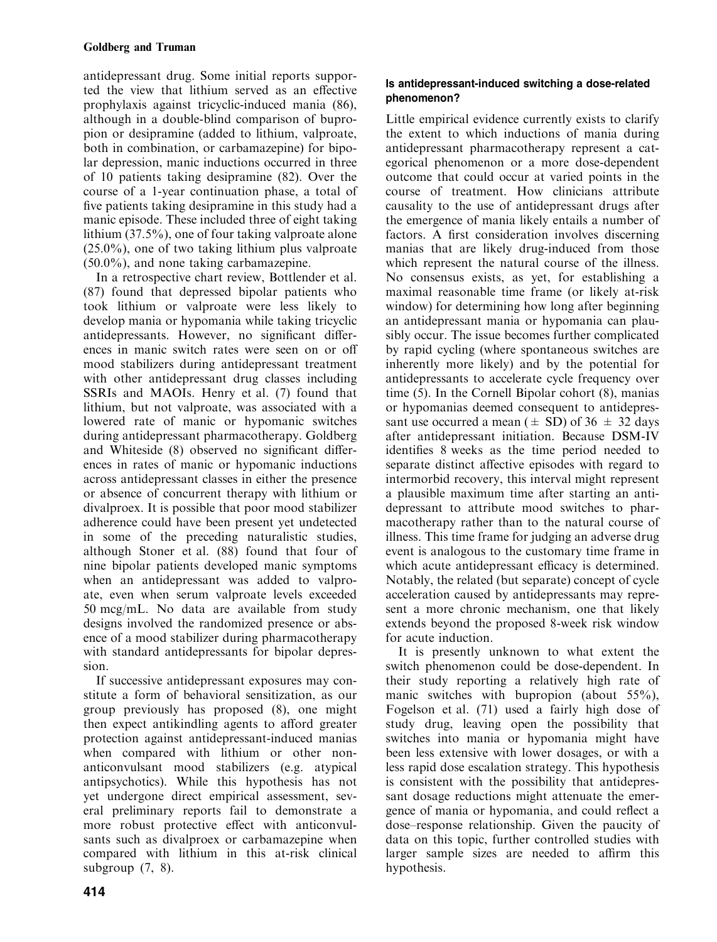antidepressant drug. Some initial reports supported the view that lithium served as an effective prophylaxis against tricyclic-induced mania (86), although in a double-blind comparison of bupropion or desipramine (added to lithium, valproate, both in combination, or carbamazepine) for bipolar depression, manic inductions occurred in three of 10 patients taking desipramine (82). Over the course of a 1-year continuation phase, a total of five patients taking desipramine in this studyhad a manic episode. These included three of eight taking lithium (37.5%), one of four taking valproate alone (25.0%), one of two taking lithium plus valproate (50.0%), and none taking carbamazepine.

In a retrospective chart review, Bottlender et al. (87) found that depressed bipolar patients who took lithium or valproate were less likely to develop mania or hypomania while taking tricyclic antidepressants. However, no significant differences in manic switch rates were seen on or off mood stabilizers during antidepressant treatment with other antidepressant drug classes including SSRIs and MAOIs. Henry et al. (7) found that lithium, but not valproate, was associated with a lowered rate of manic or hypomanic switches during antidepressant pharmacotherapy. Goldberg and Whiteside (8) observed no significant differences in rates of manic or hypomanic inductions across antidepressant classes in either the presence or absence of concurrent therapy with lithium or divalproex. It is possible that poor mood stabilizer adherence could have been present yet undetected in some of the preceding naturalistic studies, although Stoner et al. (88) found that four of nine bipolar patients developed manic symptoms when an antidepressant was added to valproate, even when serum valproate levels exceeded 50 mcg/mL. No data are available from study designs involved the randomized presence or absence of a mood stabilizer during pharmacotherapy with standard antidepressants for bipolar depression.

If successive antidepressant exposures mayconstitute a form of behavioral sensitization, as our group previouslyhas proposed (8), one might then expect antikindling agents to afford greater protection against antidepressant-induced manias when compared with lithium or other nonanticonvulsant mood stabilizers (e.g. atypical antipsychotics). While this hypothesis has not yet undergone direct empirical assessment, several preliminary reports fail to demonstrate a more robust protective effect with anticonvulsants such as divalproex or carbamazepine when compared with lithium in this at-risk clinical subgroup (7, 8).

# Is antidepressant-induced switching a dose-related phenomenon?

Little empirical evidence currently exists to clarify the extent to which inductions of mania during antidepressant pharmacotherapy represent a categorical phenomenon or a more dose-dependent outcome that could occur at varied points in the course of treatment. How clinicians attribute causality to the use of antidepressant drugs after the emergence of mania likelyentails a number of factors. A first consideration involves discerning manias that are likely drug-induced from those which represent the natural course of the illness. No consensus exists, as yet, for establishing a maximal reasonable time frame (or likely at-risk window) for determining how long after beginning an antidepressant mania or hypomania can plausibly occur. The issue becomes further complicated by rapid cycling (where spontaneous switches are inherently more likely) and by the potential for antidepressants to accelerate cycle frequency over time (5). In the Cornell Bipolar cohort (8), manias or hypomanias deemed consequent to antidepressant use occurred a mean ( $\pm$  SD) of 36  $\pm$  32 days after antidepressant initiation. Because DSM-IV identifies 8 weeks as the time period needed to separate distinct affective episodes with regard to intermorbid recovery, this interval might represent a plausible maximum time after starting an antidepressant to attribute mood switches to pharmacotherapy rather than to the natural course of illness. This time frame for judging an adverse drug event is analogous to the customary time frame in which acute antidepressant efficacy is determined. Notably, the related (but separate) concept of cycle acceleration caused by antidepressants may represent a more chronic mechanism, one that likely extends beyond the proposed 8-week risk window for acute induction.

It is presently unknown to what extent the switch phenomenon could be dose-dependent. In their study reporting a relatively high rate of manic switches with bupropion (about 55%), Fogelson et al. (71) used a fairly high dose of study drug, leaving open the possibility that switches into mania or hypomania might have been less extensive with lower dosages, or with a less rapid dose escalation strategy. This hypothesis is consistent with the possibility that antidepressant dosage reductions might attenuate the emergence of mania or hypomania, and could reflect a dose–response relationship. Given the paucityof data on this topic, further controlled studies with larger sample sizes are needed to affirm this hypothesis.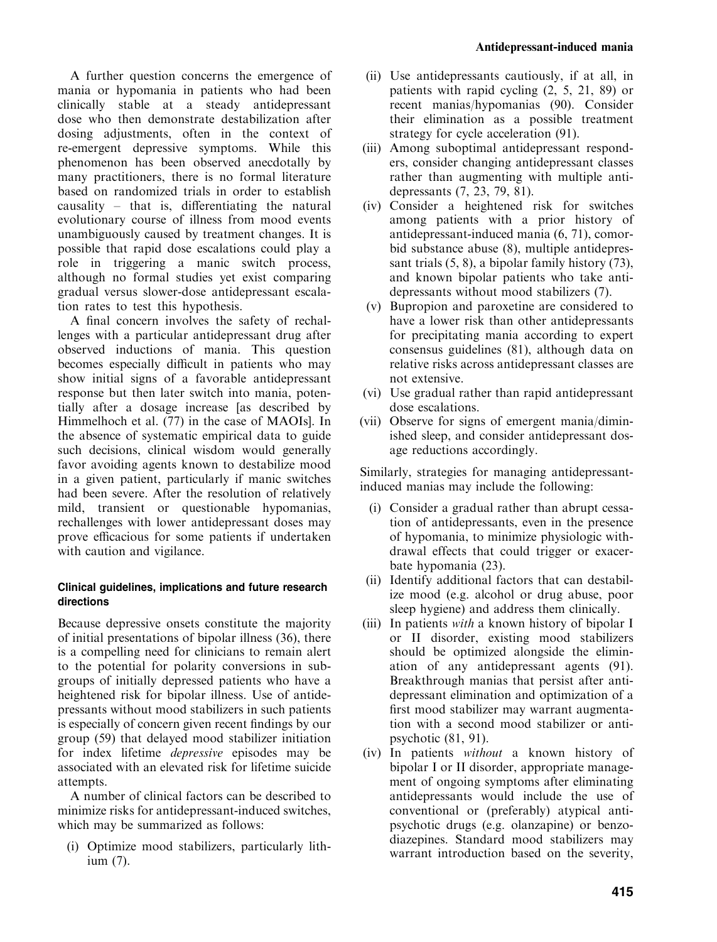A further question concerns the emergence of mania or hypomania in patients who had been clinically stable at a steady antidepressant dose who then demonstrate destabilization after dosing adjustments, often in the context of re-emergent depressive symptoms. While this phenomenon has been observed anecdotally by many practitioners, there is no formal literature based on randomized trials in order to establish causality– that is, differentiating the natural evolutionary course of illness from mood events unambiguously caused by treatment changes. It is possible that rapid dose escalations could playa role in triggering a manic switch process, although no formal studies yet exist comparing gradual versus slower-dose antidepressant escalation rates to test this hypothesis.

A final concern involves the safetyof rechallenges with a particular antidepressant drug after observed inductions of mania. This question becomes especially difficult in patients who may show initial signs of a favorable antidepressant response but then later switch into mania, potentiallyafter a dosage increase [as described by Himmelhoch et al. (77) in the case of MAOIs]. In the absence of systematic empirical data to guide such decisions, clinical wisdom would generally favor avoiding agents known to destabilize mood in a given patient, particularly if manic switches had been severe. After the resolution of relatively mild, transient or questionable hypomanias, rechallenges with lower antidepressant doses may prove efficacious for some patients if undertaken with caution and vigilance.

# Clinical guidelines, implications and future research directions

Because depressive onsets constitute the majority of initial presentations of bipolar illness (36), there is a compelling need for clinicians to remain alert to the potential for polarity conversions in subgroups of initiallydepressed patients who have a heightened risk for bipolar illness. Use of antidepressants without mood stabilizers in such patients is especially of concern given recent findings by our group (59) that delayed mood stabilizer initiation for index lifetime depressive episodes maybe associated with an elevated risk for lifetime suicide attempts.

A number of clinical factors can be described to minimize risks for antidepressant-induced switches, which may be summarized as follows:

(i) Optimize mood stabilizers, particularly lithium (7).

- (ii) Use antidepressants cautiously, if at all, in patients with rapid cycling (2, 5, 21, 89) or recent manias/hypomanias (90). Consider their elimination as a possible treatment strategy for cycle acceleration (91).
- (iii) Among suboptimal antidepressant responders, consider changing antidepressant classes rather than augmenting with multiple antidepressants (7, 23, 79, 81).
- (iv) Consider a heightened risk for switches among patients with a prior history of antidepressant-induced mania (6, 71), comorbid substance abuse (8), multiple antidepressant trials  $(5, 8)$ , a bipolar family history  $(73)$ , and known bipolar patients who take antidepressants without mood stabilizers (7).
- (v) Bupropion and paroxetine are considered to have a lower risk than other antidepressants for precipitating mania according to expert consensus guidelines (81), although data on relative risks across antidepressant classes are not extensive.
- (vi) Use gradual rather than rapid antidepressant dose escalations.
- (vii) Observe for signs of emergent mania/diminished sleep, and consider antidepressant dosage reductions accordingly.

Similarly, strategies for managing antidepressantinduced manias may include the following:

- (i) Consider a gradual rather than abrupt cessation of antidepressants, even in the presence of hypomania, to minimize physiologic withdrawal effects that could trigger or exacerbate hypomania (23).
- (ii) Identifyadditional factors that can destabilize mood (e.g. alcohol or drug abuse, poor sleep hygiene) and address them clinically.
- (iii) In patients with a known history of bipolar I or II disorder, existing mood stabilizers should be optimized alongside the elimination of any antidepressant agents (91). Breakthrough manias that persist after antidepressant elimination and optimization of a first mood stabilizer maywarrant augmentation with a second mood stabilizer or antipsychotic (81, 91).
- (iv) In patients *without* a known history of bipolar I or II disorder, appropriate management of ongoing symptoms after eliminating antidepressants would include the use of conventional or (preferably) atypical antipsychotic drugs (e.g. olanzapine) or benzodiazepines. Standard mood stabilizers may warrant introduction based on the severity,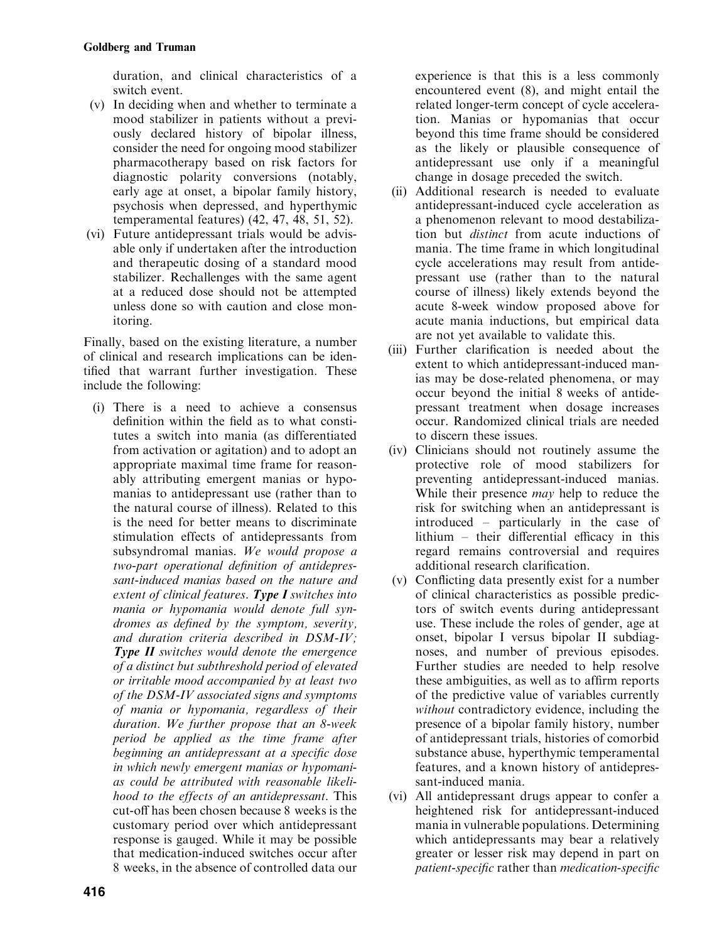duration, and clinical characteristics of a switch event.

- (v) In deciding when and whether to terminate a mood stabilizer in patients without a previously declared history of bipolar illness, consider the need for ongoing mood stabilizer pharmacotherapy based on risk factors for diagnostic polarity conversions (notably, early age at onset, a bipolar family history, psychosis when depressed, and hyperthymic temperamental features) (42, 47, 48, 51, 52).
- (vi) Future antidepressant trials would be advisable only if undertaken after the introduction and therapeutic dosing of a standard mood stabilizer. Rechallenges with the same agent at a reduced dose should not be attempted unless done so with caution and close monitoring.

Finally, based on the existing literature, a number of clinical and research implications can be identified that warrant further investigation. These include the following:

(i) There is a need to achieve a consensus definition within the field as to what constitutes a switch into mania (as differentiated from activation or agitation) and to adopt an appropriate maximal time frame for reasonablyattributing emergent manias or hypomanias to antidepressant use (rather than to the natural course of illness). Related to this is the need for better means to discriminate stimulation effects of antidepressants from subsyndromal manias. We would propose a two-part operational definition of antidepressant-induced manias based on the nature and extent of clinical features. Type I switches into mania or hypomania would denote full syndromes as defined by the symptom, severity, and duration criteria described in DSM-IV; **Type II** switches would denote the emergence of a distinct but subthreshold period of elevated or irritable mood accompanied by at least two of the DSM-IV associated signs and symptoms of mania or hypomania, regardless of their duration. We further propose that an 8-week period be applied as the time frame after beginning an antidepressant at a specific dose in which newly emergent manias or hypomanias could be attributed with reasonable likelihood to the effects of an antidepressant. This cut-off has been chosen because 8 weeks is the customary period over which antidepressant response is gauged. While it maybe possible that medication-induced switches occur after 9 8 weeks, in the absence of controlled data our

experience is that this is a less commonly encountered event (8), and might entail the related longer-term concept of cycle acceleration. Manias or hypomanias that occur beyond this time frame should be considered as the likely or plausible consequence of antidepressant use only if a meaningful change in dosage preceded the switch.

- (ii) Additional research is needed to evaluate antidepressant-induced cycle acceleration as a phenomenon relevant to mood destabilization but distinct from acute inductions of mania. The time frame in which longitudinal cycle accelerations may result from antidepressant use (rather than to the natural course of illness) likely extends beyond the acute 8-week window proposed above for acute mania inductions, but empirical data are not yet available to validate this.
- (iii) Further clarification is needed about the extent to which antidepressant-induced manias may be dose-related phenomena, or may occur beyond the initial 8 weeks of antidepressant treatment when dosage increases occur. Randomized clinical trials are needed to discern these issues.
- (iv) Clinicians should not routinelyassume the protective role of mood stabilizers for preventing antidepressant-induced manias. While their presence *may* help to reduce the risk for switching when an antidepressant is  $introduced$  – particularly in the case of lithium – their differential efficacy in this regard remains controversial and requires additional research clarification.
- (v) Conflicting data presentlyexist for a number of clinical characteristics as possible predictors of switch events during antidepressant use. These include the roles of gender, age at onset, bipolar I versus bipolar II subdiagnoses, and number of previous episodes. Further studies are needed to help resolve these ambiguities, as well as to affirm reports of the predictive value of variables currently without contradictory evidence, including the presence of a bipolar family history, number of antidepressant trials, histories of comorbid substance abuse, hyperthymic temperamental features, and a known history of antidepressant-induced mania.
- (vi) All antidepressant drugs appear to confer a heightened risk for antidepressant-induced mania in vulnerable populations. Determining which antidepressants may bear a relatively greater or lesser risk maydepend in part on patient-specific rather than medication-specific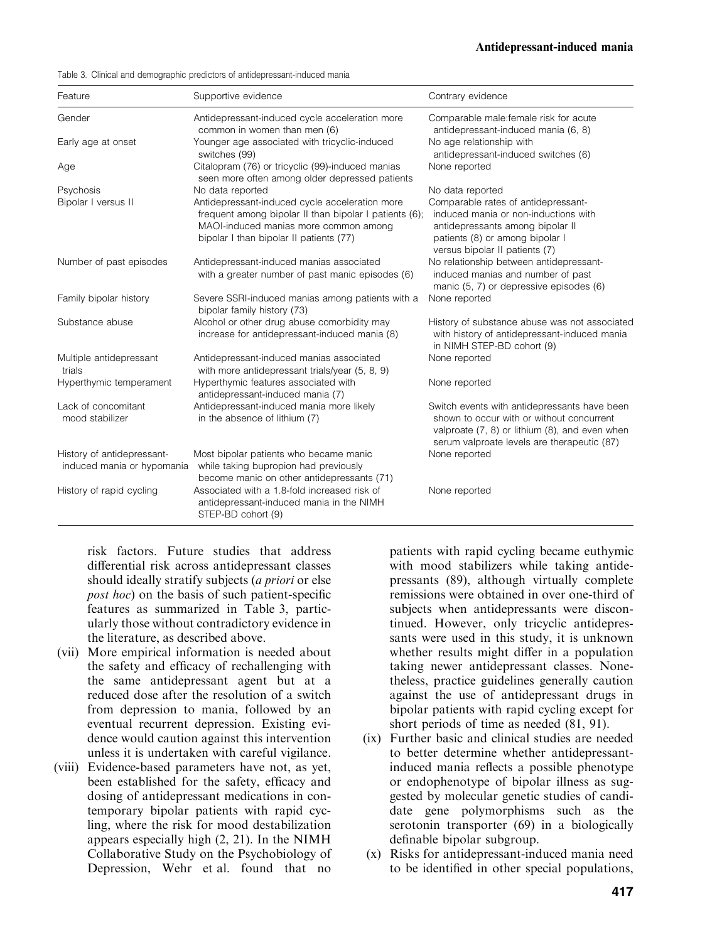Table 3. Clinical and demographic predictors of antidepressant-induced mania

| Feature                                                  | Supportive evidence                                                                                                                                                                          | Contrary evidence                                                                                                                                                                          |
|----------------------------------------------------------|----------------------------------------------------------------------------------------------------------------------------------------------------------------------------------------------|--------------------------------------------------------------------------------------------------------------------------------------------------------------------------------------------|
| Gender                                                   | Antidepressant-induced cycle acceleration more<br>common in women than men (6)                                                                                                               | Comparable male: female risk for acute<br>antidepressant-induced mania (6, 8)                                                                                                              |
| Early age at onset                                       | Younger age associated with tricyclic-induced<br>switches (99)                                                                                                                               | No age relationship with<br>antidepressant-induced switches (6)                                                                                                                            |
| Age                                                      | Citalopram (76) or tricyclic (99)-induced manias<br>seen more often among older depressed patients                                                                                           | None reported                                                                                                                                                                              |
| Psychosis                                                | No data reported                                                                                                                                                                             | No data reported                                                                                                                                                                           |
| Bipolar I versus II                                      | Antidepressant-induced cycle acceleration more<br>frequent among bipolar II than bipolar I patients (6);<br>MAOI-induced manias more common among<br>bipolar I than bipolar II patients (77) | Comparable rates of antidepressant-<br>induced mania or non-inductions with<br>antidepressants among bipolar II<br>patients (8) or among bipolar I<br>versus bipolar II patients (7)       |
| Number of past episodes                                  | Antidepressant-induced manias associated<br>with a greater number of past manic episodes (6)                                                                                                 | No relationship between antidepressant-<br>induced manias and number of past<br>manic (5, 7) or depressive episodes (6)                                                                    |
| Family bipolar history                                   | Severe SSRI-induced manias among patients with a<br>bipolar family history (73)                                                                                                              | None reported                                                                                                                                                                              |
| Substance abuse                                          | Alcohol or other drug abuse comorbidity may<br>increase for antidepressant-induced mania (8)                                                                                                 | History of substance abuse was not associated<br>with history of antidepressant-induced mania<br>in NIMH STEP-BD cohort (9)                                                                |
| Multiple antidepressant<br>trials                        | Antidepressant-induced manias associated<br>with more antidepressant trials/year (5, 8, 9)                                                                                                   | None reported                                                                                                                                                                              |
| Hyperthymic temperament                                  | Hyperthymic features associated with<br>antidepressant-induced mania (7)                                                                                                                     | None reported                                                                                                                                                                              |
| Lack of concomitant<br>mood stabilizer                   | Antidepressant-induced mania more likely<br>in the absence of lithium (7)                                                                                                                    | Switch events with antidepressants have been<br>shown to occur with or without concurrent<br>valproate (7, 8) or lithium (8), and even when<br>serum valproate levels are therapeutic (87) |
| History of antidepressant-<br>induced mania or hypomania | Most bipolar patients who became manic<br>while taking bupropion had previously<br>become manic on other antidepressants (71)                                                                | None reported                                                                                                                                                                              |
| History of rapid cycling                                 | Associated with a 1.8-fold increased risk of<br>antidepressant-induced mania in the NIMH<br>STEP-BD cohort (9)                                                                               | None reported                                                                                                                                                                              |

risk factors. Future studies that address differential risk across antidepressant classes should ideally stratify subjects (*a priori* or else post hoc) on the basis of such patient-specific features as summarized in Table 3, particularlythose without contradictoryevidence in the literature, as described above.

- (vii) More empirical information is needed about the safety and efficacy of rechallenging with the same antidepressant agent but at a reduced dose after the resolution of a switch from depression to mania, followed by an eventual recurrent depression. Existing evidence would caution against this intervention unless it is undertaken with careful vigilance.
- (viii) Evidence-based parameters have not, as yet, been established for the safety, efficacy and dosing of antidepressant medications in contemporary bipolar patients with rapid cycling, where the risk for mood destabilization appears especially high  $(2, 21)$ . In the NIMH Collaborative Study on the Psychobiology of Depression, Wehr et al. found that no

patients with rapid cycling became euthymic with mood stabilizers while taking antidepressants (89), although virtually complete remissions were obtained in over one-third of subjects when antidepressants were discontinued. However, only tricyclic antidepressants were used in this study, it is unknown whether results might differ in a population taking newer antidepressant classes. Nonetheless, practice guidelines generally caution against the use of antidepressant drugs in bipolar patients with rapid cycling except for short periods of time as needed (81, 91).

- (ix) Further basic and clinical studies are needed to better determine whether antidepressantinduced mania reflects a possible phenotype or endophenotype of bipolar illness as suggested bymolecular genetic studies of candidate gene polymorphisms such as the serotonin transporter (69) in a biologically definable bipolar subgroup.
- (x) Risks for antidepressant-induced mania need to be identified in other special populations,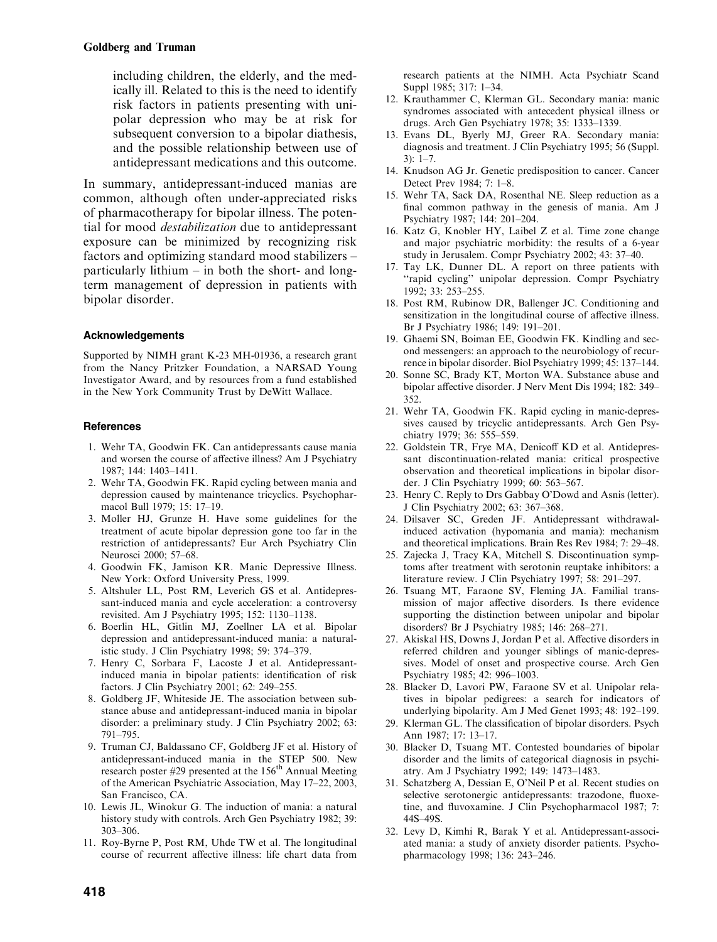including children, the elderly, and the medically ill. Related to this is the need to identify risk factors in patients presenting with unipolar depression who maybe at risk for subsequent conversion to a bipolar diathesis, and the possible relationship between use of antidepressant medications and this outcome.

In summary, antidepressant-induced manias are common, although often under-appreciated risks of pharmacotherapy for bipolar illness. The potential for mood destabilization due to antidepressant exposure can be minimized by recognizing risk factors and optimizing standard mood stabilizers – particularly lithium – in both the short- and longterm management of depression in patients with bipolar disorder.

## Acknowledgements

Supported by NIMH grant K-23 MH-01936, a research grant from the Nancy Pritzker Foundation, a NARSAD Young Investigator Award, and by resources from a fund established in the New York Community Trust by DeWitt Wallace.

#### **References**

- 1. Wehr TA, Goodwin FK. Can antidepressants cause mania and worsen the course of affective illness? Am J Psychiatry 1987; 144: 1403–1411.
- 2. Wehr TA, Goodwin FK. Rapid cycling between mania and depression caused by maintenance tricyclics. Psychopharmacol Bull 1979; 15: 17–19.
- 3. Moller HJ, Grunze H. Have some guidelines for the treatment of acute bipolar depression gone too far in the restriction of antidepressants? Eur Arch Psychiatry Clin Neurosci 2000; 57–68.
- 4. Goodwin FK, Jamison KR. Manic Depressive Illness. New York: Oxford University Press, 1999.
- 5. Altshuler LL, Post RM, Leverich GS et al. Antidepressant-induced mania and cycle acceleration: a controversy revisited. Am J Psychiatry 1995; 152: 1130–1138.
- 6. Boerlin HL, Gitlin MJ, Zoellner LA et al. Bipolar depression and antidepressant-induced mania: a naturalistic study. J Clin Psychiatry 1998; 59: 374–379.
- 7. HenryC, Sorbara F, Lacoste J et al. Antidepressantinduced mania in bipolar patients: identification of risk factors. J Clin Psychiatry 2001; 62: 249–255.
- 8. Goldberg JF, Whiteside JE. The association between substance abuse and antidepressant-induced mania in bipolar disorder: a preliminary study. J Clin Psychiatry 2002; 63: 791–795.
- 9. Truman CJ, Baldassano CF, Goldberg JF et al. Historyof antidepressant-induced mania in the STEP 500. New research poster #29 presented at the 156<sup>th</sup> Annual Meeting of the American Psychiatric Association, May 17–22, 2003, San Francisco, CA.
- 10. Lewis JL, Winokur G. The induction of mania: a natural history study with controls. Arch Gen Psychiatry 1982; 39: 303–306.
- 11. Roy-Byrne P, Post RM, Uhde TW et al. The longitudinal course of recurrent affective illness: life chart data from

research patients at the NIMH. Acta Psychiatr Scand Suppl 1985; 317: 1–34.

- 12. Krauthammer C, Klerman GL. Secondarymania: manic syndromes associated with antecedent physical illness or drugs. Arch Gen Psychiatry 1978; 35: 1333–1339.
- 13. Evans DL, Byerly MJ, Greer RA. Secondary mania: diagnosis and treatment. J Clin Psychiatry 1995; 56 (Suppl.  $3)$ : 1–7.
- 14. Knudson AG Jr. Genetic predisposition to cancer. Cancer Detect Prev 1984; 7: 1–8.
- 15. Wehr TA, Sack DA, Rosenthal NE. Sleep reduction as a final common pathway in the genesis of mania. Am J Psychiatry 1987; 144: 201–204.
- 16. Katz G, Knobler HY, Laibel Z et al. Time zone change and major psychiatric morbidity: the results of a 6-year study in Jerusalem. Compr Psychiatry 2002; 43: 37–40.
- 17. Tay LK, Dunner DL. A report on three patients with ''rapid cycling'' unipolar depression. Compr Psychiatry 1992; 33: 253–255.
- 18. Post RM, Rubinow DR, Ballenger JC. Conditioning and sensitization in the longitudinal course of affective illness. Br J Psychiatry 1986; 149: 191–201.
- 19. Ghaemi SN, Boiman EE, Goodwin FK. Kindling and second messengers: an approach to the neurobiologyof recurrence in bipolar disorder. Biol Psychiatry 1999; 45: 137–144.
- 20. Sonne SC, Brady KT, Morton WA. Substance abuse and bipolar affective disorder. J Nerv Ment Dis 1994; 182: 349– 352.
- 21. Wehr TA, Goodwin FK. Rapid cycling in manic-depressives caused by tricyclic antidepressants. Arch Gen Psychiatry 1979; 36: 555–559.
- 22. Goldstein TR, Frye MA, Denicoff KD et al. Antidepressant discontinuation-related mania: critical prospective observation and theoretical implications in bipolar disorder. J Clin Psychiatry 1999; 60: 563–567.
- 23. HenryC. Replyto Drs GabbayO'Dowd and Asnis (letter). J Clin Psychiatry 2002; 63: 367–368.
- 24. Dilsaver SC, Greden JF. Antidepressant withdrawalinduced activation (hypomania and mania): mechanism and theoretical implications. Brain Res Rev 1984; 7: 29–48.
- 25. Zajecka J, TracyKA, Mitchell S. Discontinuation symptoms after treatment with serotonin reuptake inhibitors: a literature review. J Clin Psychiatry 1997; 58: 291–297.
- 26. Tsuang MT, Faraone SV, Fleming JA. Familial transmission of major affective disorders. Is there evidence supporting the distinction between unipolar and bipolar disorders? Br J Psychiatry 1985; 146: 268–271.
- 27. Akiskal HS, Downs J, Jordan P et al. Affective disorders in referred children and younger siblings of manic-depressives. Model of onset and prospective course. Arch Gen Psychiatry 1985; 42: 996–1003.
- 28. Blacker D, Lavori PW, Faraone SV et al. Unipolar relatives in bipolar pedigrees: a search for indicators of underlying bipolarity. Am J Med Genet 1993; 48: 192–199.
- 29. Klerman GL. The classification of bipolar disorders. Psych Ann 1987; 17: 13–17.
- 30. Blacker D, Tsuang MT. Contested boundaries of bipolar disorder and the limits of categorical diagnosis in psychiatry. Am J Psychiatry 1992; 149: 1473–1483.
- 31. Schatzberg A, Dessian E, O'Neil P et al. Recent studies on selective serotonergic antidepressants: trazodone, fluoxetine, and fluvoxamine. J Clin Psychopharmacol 1987; 7: 44S–49S.
- 32. LevyD, Kimhi R, Barak Y et al. Antidepressant-associated mania: a study of anxiety disorder patients. Psychopharmacology1998; 136: 243–246.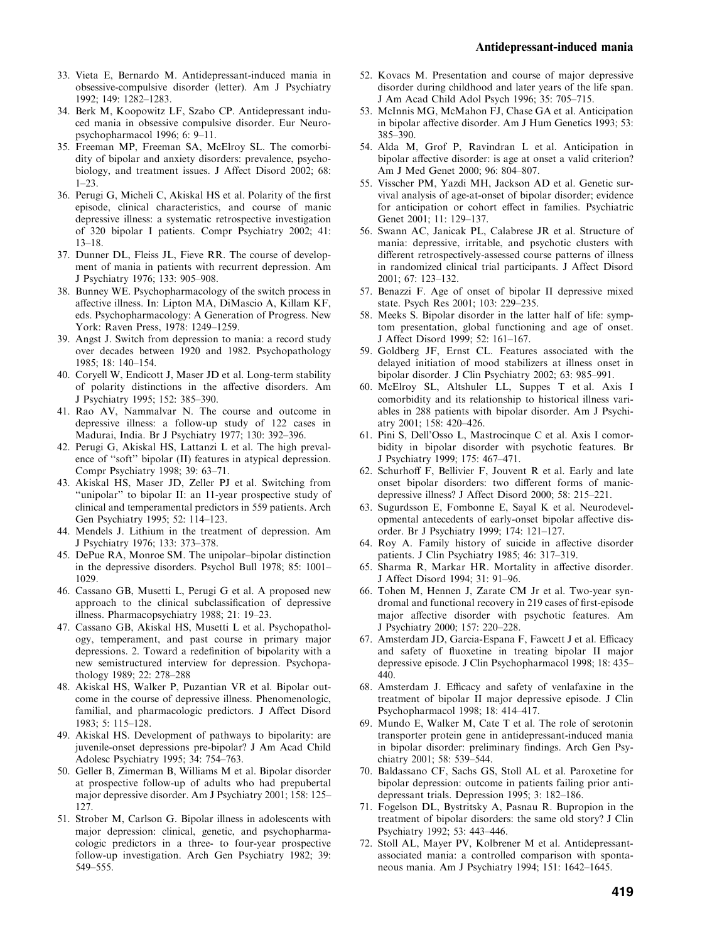- 33. Vieta E, Bernardo M. Antidepressant-induced mania in obsessive-compulsive disorder (letter). Am J Psychiatry 1992; 149: 1282–1283.
- 34. Berk M, Koopowitz LF, Szabo CP. Antidepressant induced mania in obsessive compulsive disorder. Eur Neuropsychopharmacol 1996; 6: 9–11.
- 35. Freeman MP, Freeman SA, McElroy SL. The comorbidity of bipolar and anxiety disorders: prevalence, psychobiology, and treatment issues. J Affect Disord 2002; 68: 1–23.
- 36. Perugi G, Micheli C, Akiskal HS et al. Polarityof the first episode, clinical characteristics, and course of manic depressive illness: a systematic retrospective investigation of 320 bipolar I patients. Compr Psychiatry 2002; 41: 13–18.
- 37. Dunner DL, Fleiss JL, Fieve RR. The course of development of mania in patients with recurrent depression. Am J Psychiatry 1976; 133: 905–908.
- 38. BunneyWE. Psychopharmacologyof the switch process in affective illness. In: Lipton MA, DiMascio A, Killam KF, eds. Psychopharmacology: A Generation of Progress. New York: Raven Press, 1978: 1249-1259.
- 39. Angst J. Switch from depression to mania: a record study over decades between 1920 and 1982. Psychopathology 1985; 18: 140–154.
- 40. Coryell W, Endicott J, Maser JD et al. Long-term stability of polarity distinctions in the affective disorders. Am J Psychiatry 1995; 152: 385–390.
- 41. Rao AV, Nammalvar N. The course and outcome in depressive illness: a follow-up study of 122 cases in Madurai, India. Br J Psychiatry 1977; 130: 392–396.
- 42. Perugi G, Akiskal HS, Lattanzi L et al. The high prevalence of ''soft'' bipolar (II) features in atypical depression. Compr Psychiatry 1998; 39: 63–71.
- 43. Akiskal HS, Maser JD, Zeller PJ et al. Switching from ''unipolar'' to bipolar II: an 11-year prospective study of clinical and temperamental predictors in 559 patients. Arch Gen Psychiatry 1995; 52: 114–123.
- 44. Mendels J. Lithium in the treatment of depression. Am J Psychiatry 1976; 133: 373–378.
- 45. DePue RA, Monroe SM. The unipolar–bipolar distinction in the depressive disorders. Psychol Bull 1978; 85: 1001– 1029.
- 46. Cassano GB, Musetti L, Perugi G et al. A proposed new approach to the clinical subclassification of depressive illness. Pharmacopsychiatry 1988; 21: 19–23.
- 47. Cassano GB, Akiskal HS, Musetti L et al. Psychopathology, temperament, and past course in primary major depressions. 2. Toward a redefinition of bipolarity with a new semistructured interview for depression. Psychopathology1989; 22: 278–288
- 48. Akiskal HS, Walker P, Puzantian VR et al. Bipolar outcome in the course of depressive illness. Phenomenologic, familial, and pharmacologic predictors. J Affect Disord 1983; 5: 115–128.
- 49. Akiskal HS. Development of pathways to bipolarity: are juvenile-onset depressions pre-bipolar? J Am Acad Child Adolesc Psychiatry 1995; 34: 754–763.
- 50. Geller B, Zimerman B, Williams M et al. Bipolar disorder at prospective follow-up of adults who had prepubertal major depressive disorder. Am J Psychiatry 2001; 158: 125– 127.
- 51. Strober M, Carlson G. Bipolar illness in adolescents with major depression: clinical, genetic, and psychopharmacologic predictors in a three- to four-year prospective follow-up investigation. Arch Gen Psychiatry 1982; 39: 549–555.
- 52. Kovacs M. Presentation and course of major depressive disorder during childhood and later years of the life span. J Am Acad Child Adol Psych 1996; 35: 705–715.
- 53. McInnis MG, McMahon FJ, Chase GA et al. Anticipation in bipolar affective disorder. Am J Hum Genetics 1993; 53: 385–390.
- 54. Alda M, Grof P, Ravindran L et al. Anticipation in bipolar affective disorder: is age at onset a valid criterion? Am J Med Genet 2000; 96: 804–807.
- 55. Visscher PM, Yazdi MH, Jackson AD et al. Genetic survival analysis of age-at-onset of bipolar disorder; evidence for anticipation or cohort effect in families. Psychiatric Genet 2001; 11: 129–137.
- 56. Swann AC, Janicak PL, Calabrese JR et al. Structure of mania: depressive, irritable, and psychotic clusters with different retrospectively-assessed course patterns of illness in randomized clinical trial participants. J Affect Disord 2001; 67: 123–132.
- 57. Benazzi F. Age of onset of bipolar II depressive mixed state. Psych Res 2001; 103: 229–235.
- 58. Meeks S. Bipolar disorder in the latter half of life: symptom presentation, global functioning and age of onset. J Affect Disord 1999; 52: 161–167.
- 59. Goldberg JF, Ernst CL. Features associated with the delayed initiation of mood stabilizers at illness onset in bipolar disorder. J Clin Psychiatry 2002; 63: 985–991.
- 60. McElroy SL, Altshuler LL, Suppes T et al. Axis I comorbidityand its relationship to historical illness variables in 288 patients with bipolar disorder. Am J Psychiatry2001; 158: 420–426.
- 61. Pini S, Dell'Osso L, Mastrocinque C et al. Axis I comorbidity in bipolar disorder with psychotic features. Br J Psychiatry 1999; 175: 467–471.
- 62. Schurhoff F, Bellivier F, Jouvent R et al. Earlyand late onset bipolar disorders: two different forms of manicdepressive illness? J Affect Disord 2000; 58: 215–221.
- 63. Sugurdsson E, Fombonne E, Sayal K et al. Neurodevelopmental antecedents of early-onset bipolar affective disorder. Br J Psychiatry 1999; 174: 121–127.
- 64. Roy A. Family history of suicide in affective disorder patients. J Clin Psychiatry 1985; 46: 317–319.
- 65. Sharma R, Markar HR. Mortality in affective disorder. J Affect Disord 1994; 31: 91–96.
- 66. Tohen M, Hennen J, Zarate CM Jr et al. Two-year syndromal and functional recoveryin 219 cases of first-episode major affective disorder with psychotic features. Am J Psychiatry 2000; 157: 220–228.
- 67. Amsterdam JD, Garcia-Espana F, Fawcett J et al. Efficacy and safety of fluoxetine in treating bipolar II major depressive episode. J Clin Psychopharmacol 1998; 18: 435– 440.
- 68. Amsterdam J. Efficacyand safetyof venlafaxine in the treatment of bipolar II major depressive episode. J Clin Psychopharmacol 1998; 18: 414–417.
- 69. Mundo E, Walker M, Cate T et al. The role of serotonin transporter protein gene in antidepressant-induced mania in bipolar disorder: preliminary findings. Arch Gen Psychiatry2001; 58: 539–544.
- 70. Baldassano CF, Sachs GS, Stoll AL et al. Paroxetine for bipolar depression: outcome in patients failing prior antidepressant trials. Depression 1995; 3: 182–186.
- 71. Fogelson DL, Bystritsky A, Pasnau R. Bupropion in the treatment of bipolar disorders: the same old story? J Clin Psychiatry 1992; 53: 443–446.
- 72. Stoll AL, Mayer PV, Kolbrener M et al. Antidepressantassociated mania: a controlled comparison with spontaneous mania. Am J Psychiatry 1994; 151: 1642–1645.